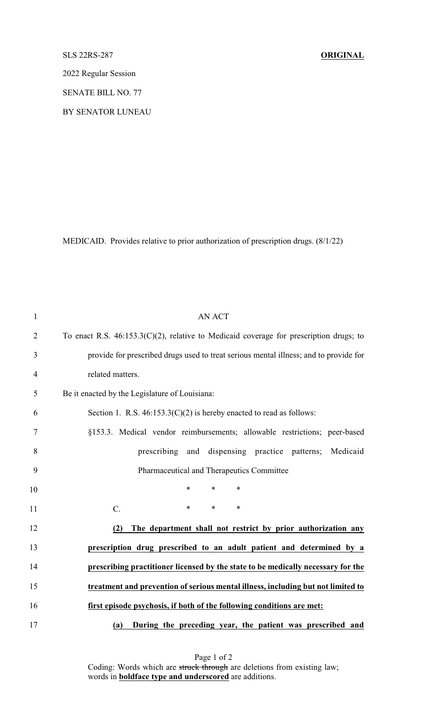## SLS 22RS-287 **ORIGINAL**

2022 Regular Session

SENATE BILL NO. 77

BY SENATOR LUNEAU

MEDICAID. Provides relative to prior authorization of prescription drugs. (8/1/22)

| $\mathbf{1}$   | <b>AN ACT</b>                                                                             |
|----------------|-------------------------------------------------------------------------------------------|
| $\overline{2}$ | To enact R.S. $46:153.3(C)(2)$ , relative to Medicaid coverage for prescription drugs; to |
| 3              | provide for prescribed drugs used to treat serious mental illness; and to provide for     |
| $\overline{4}$ | related matters.                                                                          |
| 5              | Be it enacted by the Legislature of Louisiana:                                            |
| 6              | Section 1. R.S. $46:153.3(C)(2)$ is hereby enacted to read as follows:                    |
| $\tau$         | §153.3. Medical vendor reimbursements; allowable restrictions; peer-based                 |
| 8              | prescribing and dispensing practice patterns; Medicaid                                    |
| 9              | Pharmaceutical and Therapeutics Committee                                                 |
| 10             | $\ast$<br>$\ast$<br>$\ast$                                                                |
| 11             | $\ast$<br>$\ast$<br>$\ast$<br>C.                                                          |
| 12             | The department shall not restrict by prior authorization any<br>(2)                       |
| 13             | prescription drug prescribed to an adult patient and determined by a                      |
| 14             | prescribing practitioner licensed by the state to be medically necessary for the          |
| 15             | treatment and prevention of serious mental illness, including but not limited to          |
| 16             | first episode psychosis, if both of the following conditions are met:                     |
| 17             | During the preceding year, the patient was prescribed and<br>(a)                          |

Page 1 of 2 Coding: Words which are struck through are deletions from existing law; words in **boldface type and underscored** are additions.